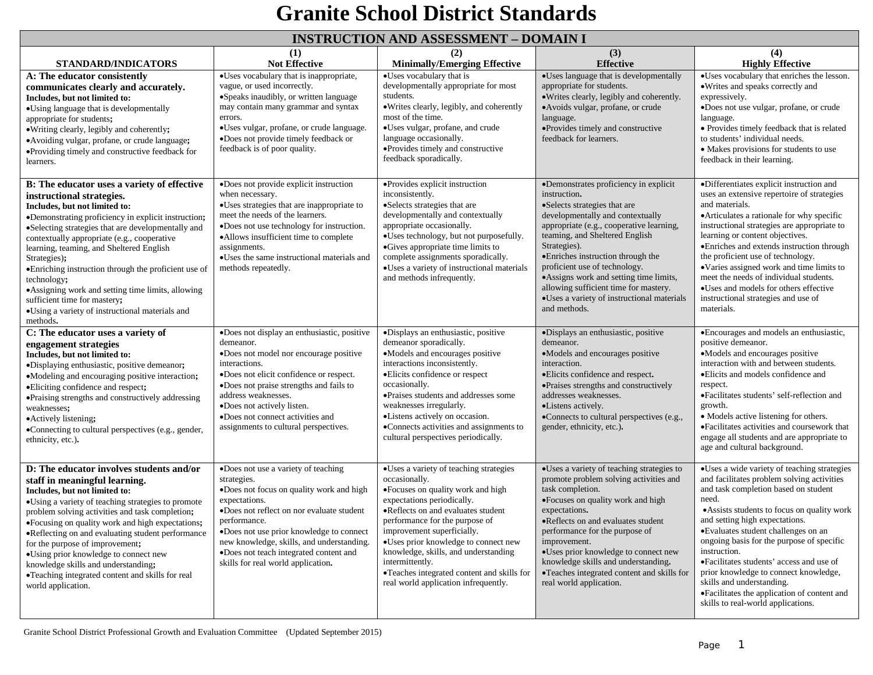#### **INSTRUCTION AND ASSESSMENT – DOMAIN I**

|                                                                                                                                                                                                                                                                                                                                                                                                                                                                                                                                                                | (1)                                                                                                                                                                                                                                                                                                                                                   | THE REPORT OF LAND LADDED DIVILLE 1<br>(2)                                                                                                                                                                                                                                                                                                                                                                                | $\sim$ $\sim$ $\sim$ $\sim$ $\sim$ $\sim$ $\sim$ $\sim$<br>(3)                                                                                                                                                                                                                                                                                                                                                                                 | (4)                                                                                                                                                                                                                                                                                                                                                                                                                                                                                                                                    |
|----------------------------------------------------------------------------------------------------------------------------------------------------------------------------------------------------------------------------------------------------------------------------------------------------------------------------------------------------------------------------------------------------------------------------------------------------------------------------------------------------------------------------------------------------------------|-------------------------------------------------------------------------------------------------------------------------------------------------------------------------------------------------------------------------------------------------------------------------------------------------------------------------------------------------------|---------------------------------------------------------------------------------------------------------------------------------------------------------------------------------------------------------------------------------------------------------------------------------------------------------------------------------------------------------------------------------------------------------------------------|------------------------------------------------------------------------------------------------------------------------------------------------------------------------------------------------------------------------------------------------------------------------------------------------------------------------------------------------------------------------------------------------------------------------------------------------|----------------------------------------------------------------------------------------------------------------------------------------------------------------------------------------------------------------------------------------------------------------------------------------------------------------------------------------------------------------------------------------------------------------------------------------------------------------------------------------------------------------------------------------|
| <b>STANDARD/INDICATORS</b>                                                                                                                                                                                                                                                                                                                                                                                                                                                                                                                                     | <b>Not Effective</b>                                                                                                                                                                                                                                                                                                                                  | <b>Minimally/Emerging Effective</b>                                                                                                                                                                                                                                                                                                                                                                                       | <b>Effective</b>                                                                                                                                                                                                                                                                                                                                                                                                                               | <b>Highly Effective</b>                                                                                                                                                                                                                                                                                                                                                                                                                                                                                                                |
| A: The educator consistently<br>communicates clearly and accurately.<br>Includes, but not limited to:<br>•Using language that is developmentally<br>appropriate for students;<br>• Writing clearly, legibly and coherently;<br>•Avoiding vulgar, profane, or crude language;<br>•Providing timely and constructive feedback for<br>learners.                                                                                                                                                                                                                   | •Uses vocabulary that is inappropriate,<br>vague, or used incorrectly.<br>•Speaks inaudibly, or written language<br>may contain many grammar and syntax<br>errors.<br>•Uses vulgar, profane, or crude language.<br>·Does not provide timely feedback or<br>feedback is of poor quality.                                                               | •Uses vocabulary that is<br>developmentally appropriate for most<br>students.<br>·Writes clearly, legibly, and coherently<br>most of the time.<br>•Uses vulgar, profane, and crude<br>language occasionally.<br>•Provides timely and constructive<br>feedback sporadically.                                                                                                                                               | •Uses language that is developmentally<br>appropriate for students.<br>• Writes clearly, legibly and coherently.<br>• Avoids vulgar, profane, or crude<br>language.<br>·Provides timely and constructive<br>feedback for learners.                                                                                                                                                                                                             | •Uses vocabulary that enriches the lesson.<br>• Writes and speaks correctly and<br>expressively.<br>•Does not use vulgar, profane, or crude<br>language.<br>• Provides timely feedback that is related<br>to students' individual needs.<br>• Makes provisions for students to use<br>feedback in their learning.                                                                                                                                                                                                                      |
| B: The educator uses a variety of effective<br>instructional strategies.<br>Includes, but not limited to:<br>•Demonstrating proficiency in explicit instruction;<br>•Selecting strategies that are developmentally and<br>contextually appropriate (e.g., cooperative<br>learning, teaming, and Sheltered English<br>Strategies);<br>• Enriching instruction through the proficient use of<br>technology;<br>• Assigning work and setting time limits, allowing<br>sufficient time for mastery;<br>·Using a variety of instructional materials and<br>methods. | •Does not provide explicit instruction<br>when necessary.<br>·Uses strategies that are inappropriate to<br>meet the needs of the learners.<br>•Does not use technology for instruction.<br>•Allows insufficient time to complete<br>assignments.<br>•Uses the same instructional materials and<br>methods repeatedly.                                 | •Provides explicit instruction<br>inconsistently.<br>•Selects strategies that are<br>developmentally and contextually<br>appropriate occasionally.<br>·Uses technology, but not purposefully.<br>•Gives appropriate time limits to<br>complete assignments sporadically.<br>·Uses a variety of instructional materials<br>and methods infrequently.                                                                       | •Demonstrates proficiency in explicit<br>instruction.<br>•Selects strategies that are<br>developmentally and contextually<br>appropriate (e.g., cooperative learning,<br>teaming, and Sheltered English<br>Strategies).<br>•Enriches instruction through the<br>proficient use of technology.<br>•Assigns work and setting time limits,<br>allowing sufficient time for mastery.<br>·Uses a variety of instructional materials<br>and methods. | ·Differentiates explicit instruction and<br>uses an extensive repertoire of strategies<br>and materials.<br>• Articulates a rationale for why specific<br>instructional strategies are appropriate to<br>learning or content objectives.<br>• Enriches and extends instruction through<br>the proficient use of technology.<br>•Varies assigned work and time limits to<br>meet the needs of individual students.<br>•Uses and models for others effective<br>instructional strategies and use of<br>materials.                        |
| C: The educator uses a variety of<br>engagement strategies<br>Includes, but not limited to:<br>•Displaying enthusiastic, positive demeanor;<br>•Modeling and encouraging positive interaction;<br>•Eliciting confidence and respect;<br>• Praising strengths and constructively addressing<br>weaknesses;<br>• Actively listening;<br>•Connecting to cultural perspectives (e.g., gender,<br>ethnicity, etc.).                                                                                                                                                 | ·Does not display an enthusiastic, positive<br>demeanor.<br>•Does not model nor encourage positive<br>interactions.<br>·Does not elicit confidence or respect.<br>•Does not praise strengths and fails to<br>address weaknesses.<br>•Does not actively listen.<br>·Does not connect activities and<br>assignments to cultural perspectives.           | ·Displays an enthusiastic, positive<br>demeanor sporadically.<br>•Models and encourages positive<br>interactions inconsistently.<br>·Elicits confidence or respect<br>occasionally.<br>·Praises students and addresses some<br>weaknesses irregularly.<br>•Listens actively on occasion.<br>•Connects activities and assignments to<br>cultural perspectives periodically.                                                | ·Displays an enthusiastic, positive<br>demeanor.<br>•Models and encourages positive<br>interaction.<br>•Elicits confidence and respect.<br>• Praises strengths and constructively<br>addresses weaknesses.<br>·Listens actively.<br>•Connects to cultural perspectives (e.g.,<br>gender, ethnicity, etc.).                                                                                                                                     | ·Encourages and models an enthusiastic,<br>positive demeanor.<br>•Models and encourages positive<br>interaction with and between students.<br>·Elicits and models confidence and<br>respect.<br>·Facilitates students' self-reflection and<br>growth.<br>• Models active listening for others.<br>•Facilitates activities and coursework that<br>engage all students and are appropriate to<br>age and cultural background.                                                                                                            |
| D: The educator involves students and/or<br>staff in meaningful learning.<br>Includes, but not limited to:<br>•Using a variety of teaching strategies to promote<br>problem solving activities and task completion;<br>•Focusing on quality work and high expectations;<br>•Reflecting on and evaluating student performance<br>for the purpose of improvement;<br>•Using prior knowledge to connect new<br>knowledge skills and understanding;<br>•Teaching integrated content and skills for real<br>world application.                                      | .Does not use a variety of teaching<br>strategies.<br>.Does not focus on quality work and high<br>expectations.<br>•Does not reflect on nor evaluate student<br>performance.<br>•Does not use prior knowledge to connect<br>new knowledge, skills, and understanding.<br>•Does not teach integrated content and<br>skills for real world application. | ·Uses a variety of teaching strategies<br>occasionally.<br>•Focuses on quality work and high<br>expectations periodically.<br>•Reflects on and evaluates student<br>performance for the purpose of<br>improvement superficially.<br>•Uses prior knowledge to connect new<br>knowledge, skills, and understanding<br>intermittently.<br>•Teaches integrated content and skills for<br>real world application infrequently. | ·Uses a variety of teaching strategies to<br>promote problem solving activities and<br>task completion.<br>·Focuses on quality work and high<br>expectations.<br>·Reflects on and evaluates student<br>performance for the purpose of<br>improvement.<br>·Uses prior knowledge to connect new<br>knowledge skills and understanding.<br>•Teaches integrated content and skills for<br>real world application.                                  | ·Uses a wide variety of teaching strategies<br>and facilitates problem solving activities<br>and task completion based on student<br>need.<br>• Assists students to focus on quality work<br>and setting high expectations.<br>·Evaluates student challenges on an<br>ongoing basis for the purpose of specific<br>instruction.<br>•Facilitates students' access and use of<br>prior knowledge to connect knowledge,<br>skills and understanding.<br>•Facilitates the application of content and<br>skills to real-world applications. |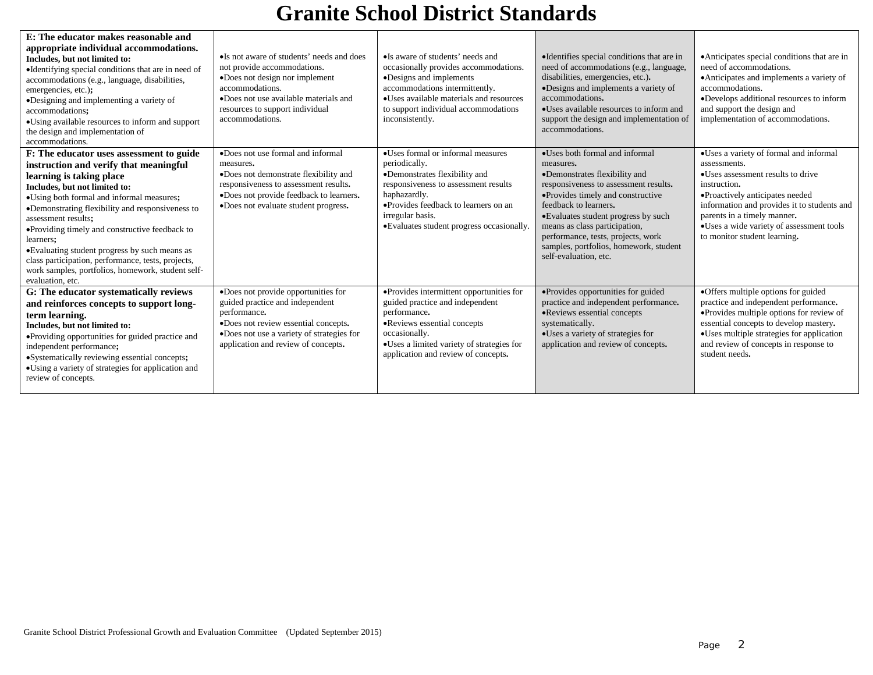| E: The educator makes reasonable and<br>appropriate individual accommodations.<br>Includes, but not limited to:<br>•Identifying special conditions that are in need of<br>accommodations (e.g., language, disabilities,<br>emergencies, etc.);<br>•Designing and implementing a variety of<br>accommodations:<br>•Using available resources to inform and support<br>the design and implementation of<br>accommodations.                                                                                                | •Is not aware of students' needs and does<br>not provide accommodations.<br>•Does not design nor implement<br>accommodations.<br>•Does not use available materials and<br>resources to support individual<br>accommodations. | •Is aware of students' needs and<br>occasionally provides accommodations.<br>•Designs and implements<br>accommodations intermittently.<br>• Uses available materials and resources<br>to support individual accommodations<br>inconsistently.         | •Identifies special conditions that are in<br>need of accommodations (e.g., language,<br>disabilities, emergencies, etc.).<br>·Designs and implements a variety of<br>accommodations.<br>•Uses available resources to inform and<br>support the design and implementation of<br>accommodations.                                                                      | • Anticipates special conditions that are in<br>need of accommodations.<br>• Anticipates and implements a variety of<br>accommodations.<br>•Develops additional resources to inform<br>and support the design and<br>implementation of accommodations.                                                   |
|-------------------------------------------------------------------------------------------------------------------------------------------------------------------------------------------------------------------------------------------------------------------------------------------------------------------------------------------------------------------------------------------------------------------------------------------------------------------------------------------------------------------------|------------------------------------------------------------------------------------------------------------------------------------------------------------------------------------------------------------------------------|-------------------------------------------------------------------------------------------------------------------------------------------------------------------------------------------------------------------------------------------------------|----------------------------------------------------------------------------------------------------------------------------------------------------------------------------------------------------------------------------------------------------------------------------------------------------------------------------------------------------------------------|----------------------------------------------------------------------------------------------------------------------------------------------------------------------------------------------------------------------------------------------------------------------------------------------------------|
| F: The educator uses assessment to guide<br>instruction and verify that meaningful<br>learning is taking place<br>Includes, but not limited to:<br>•Using both formal and informal measures;<br>•Demonstrating flexibility and responsiveness to<br>assessment results;<br>• Providing timely and constructive feedback to<br>learners;<br>•Evaluating student progress by such means as<br>class participation, performance, tests, projects,<br>work samples, portfolios, homework, student self-<br>evaluation, etc. | •Does not use formal and informal<br>measures.<br>•Does not demonstrate flexibility and<br>responsiveness to assessment results.<br>·Does not provide feedback to learners.<br>•Does not evaluate student progress.          | •Uses formal or informal measures<br>periodically.<br>•Demonstrates flexibility and<br>responsiveness to assessment results<br>haphazardly.<br>• Provides feedback to learners on an<br>irregular basis.<br>•Evaluates student progress occasionally. | •Uses both formal and informal<br>measures.<br>•Demonstrates flexibility and<br>responsiveness to assessment results.<br>•Provides timely and constructive<br>feedback to learners.<br>•Evaluates student progress by such<br>means as class participation,<br>performance, tests, projects, work<br>samples, portfolios, homework, student<br>self-evaluation, etc. | •Uses a variety of formal and informal<br>assessments.<br>•Uses assessment results to drive<br>instruction.<br>•Proactively anticipates needed<br>information and provides it to students and<br>parents in a timely manner.<br>•Uses a wide variety of assessment tools<br>to monitor student learning. |
| G: The educator systematically reviews<br>and reinforces concepts to support long-<br>term learning.<br>Includes, but not limited to:<br>•Providing opportunities for guided practice and<br>independent performance;<br>•Systematically reviewing essential concepts;<br>• Using a variety of strategies for application and<br>review of concepts.                                                                                                                                                                    | ·Does not provide opportunities for<br>guided practice and independent<br>performance.<br>•Does not review essential concepts.<br>•Does not use a variety of strategies for<br>application and review of concepts.           | ·Provides intermittent opportunities for<br>guided practice and independent<br>performance.<br>•Reviews essential concepts<br>occasionally.<br>•Uses a limited variety of strategies for<br>application and review of concepts.                       | •Provides opportunities for guided<br>practice and independent performance.<br>•Reviews essential concepts<br>systematically.<br>•Uses a variety of strategies for<br>application and review of concepts.                                                                                                                                                            | ·Offers multiple options for guided<br>practice and independent performance.<br>•Provides multiple options for review of<br>essential concepts to develop mastery.<br>•Uses multiple strategies for application<br>and review of concepts in response to<br>student needs.                               |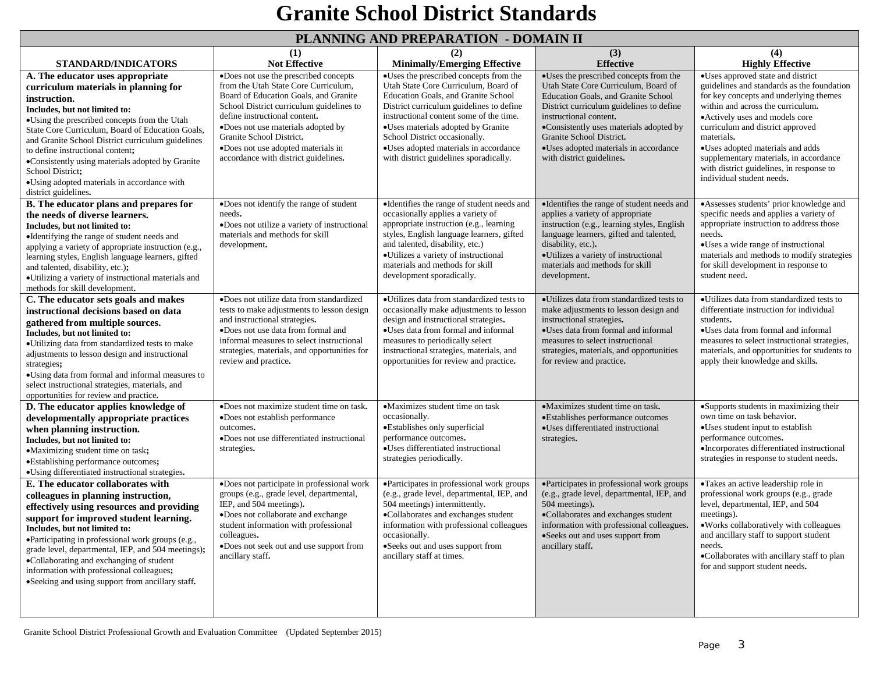#### **PLANNING AND PREPARATION - DOMAIN II**

|                                                                                                                                                                                                                                                                                                                                                                                                                                                                       |                                                                                                                                                                                                                                                                                                                                                     | TERM WALLO IN THE TABLISHMENT OF THE                                                                                                                                                                                                                                                                                                                                   | <b>LA OTTETTE LES</b>                                                                                                                                                                                                                                                                                                                    |                                                                                                                                                                                                                                                                                                                                                                                                           |
|-----------------------------------------------------------------------------------------------------------------------------------------------------------------------------------------------------------------------------------------------------------------------------------------------------------------------------------------------------------------------------------------------------------------------------------------------------------------------|-----------------------------------------------------------------------------------------------------------------------------------------------------------------------------------------------------------------------------------------------------------------------------------------------------------------------------------------------------|------------------------------------------------------------------------------------------------------------------------------------------------------------------------------------------------------------------------------------------------------------------------------------------------------------------------------------------------------------------------|------------------------------------------------------------------------------------------------------------------------------------------------------------------------------------------------------------------------------------------------------------------------------------------------------------------------------------------|-----------------------------------------------------------------------------------------------------------------------------------------------------------------------------------------------------------------------------------------------------------------------------------------------------------------------------------------------------------------------------------------------------------|
| <b>STANDARD/INDICATORS</b>                                                                                                                                                                                                                                                                                                                                                                                                                                            | (1)<br><b>Not Effective</b>                                                                                                                                                                                                                                                                                                                         | (2)<br><b>Minimally/Emerging Effective</b>                                                                                                                                                                                                                                                                                                                             | (3)<br><b>Effective</b>                                                                                                                                                                                                                                                                                                                  | (4)<br><b>Highly Effective</b>                                                                                                                                                                                                                                                                                                                                                                            |
| A. The educator uses appropriate<br>curriculum materials in planning for<br>instruction.<br>Includes, but not limited to:<br>•Using the prescribed concepts from the Utah<br>State Core Curriculum, Board of Education Goals,<br>and Granite School District curriculum guidelines<br>to define instructional content;<br>•Consistently using materials adopted by Granite<br>School District;<br>•Using adopted materials in accordance with<br>district guidelines. | ·Does not use the prescribed concepts<br>from the Utah State Core Curriculum,<br>Board of Education Goals, and Granite<br>School District curriculum guidelines to<br>define instructional content.<br>•Does not use materials adopted by<br>Granite School District.<br>•Does not use adopted materials in<br>accordance with district guidelines. | ·Uses the prescribed concepts from the<br>Utah State Core Curriculum, Board of<br>Education Goals, and Granite School<br>District curriculum guidelines to define<br>instructional content some of the time.<br>•Uses materials adopted by Granite<br>School District occasionally.<br>•Uses adopted materials in accordance<br>with district guidelines sporadically. | ·Uses the prescribed concepts from the<br>Utah State Core Curriculum, Board of<br>Education Goals, and Granite School<br>District curriculum guidelines to define<br>instructional content.<br>•Consistently uses materials adopted by<br>Granite School District.<br>•Uses adopted materials in accordance<br>with district guidelines. | •Uses approved state and district<br>guidelines and standards as the foundation<br>for key concepts and underlying themes<br>within and across the curriculum.<br>·Actively uses and models core<br>curriculum and district approved<br>materials.<br>•Uses adopted materials and adds<br>supplementary materials, in accordance<br>with district guidelines, in response to<br>individual student needs. |
| B. The educator plans and prepares for<br>the needs of diverse learners.<br>Includes, but not limited to:<br>•Identifying the range of student needs and<br>applying a variety of appropriate instruction (e.g.,<br>learning styles, English language learners, gifted<br>and talented, disability, etc.);<br>•Utilizing a variety of instructional materials and<br>methods for skill development.                                                                   | •Does not identify the range of student<br>needs.<br>•Does not utilize a variety of instructional<br>materials and methods for skill<br>development.                                                                                                                                                                                                | •Identifies the range of student needs and<br>occasionally applies a variety of<br>appropriate instruction (e.g., learning<br>styles, English language learners, gifted<br>and talented, disability, etc.)<br>•Utilizes a variety of instructional<br>materials and methods for skill<br>development sporadically.                                                     | •Identifies the range of student needs and<br>applies a variety of appropriate<br>instruction (e.g., learning styles, English<br>language learners, gifted and talented,<br>disability, etc.).<br>•Utilizes a variety of instructional<br>materials and methods for skill<br>development.                                                | •Assesses students' prior knowledge and<br>specific needs and applies a variety of<br>appropriate instruction to address those<br>needs.<br>•Uses a wide range of instructional<br>materials and methods to modify strategies<br>for skill development in response to<br>student need.                                                                                                                    |
| C. The educator sets goals and makes<br>instructional decisions based on data<br>gathered from multiple sources.<br>Includes, but not limited to:<br>•Utilizing data from standardized tests to make<br>adjustments to lesson design and instructional<br>strategies;<br>•Using data from formal and informal measures to<br>select instructional strategies, materials, and<br>opportunities for review and practice.                                                | ·Does not utilize data from standardized<br>tests to make adjustments to lesson design<br>and instructional strategies.<br>•Does not use data from formal and<br>informal measures to select instructional<br>strategies, materials, and opportunities for<br>review and practice.                                                                  | •Utilizes data from standardized tests to<br>occasionally make adjustments to lesson<br>design and instructional strategies.<br>•Uses data from formal and informal<br>measures to periodically select<br>instructional strategies, materials, and<br>opportunities for review and practice.                                                                           | • Utilizes data from standardized tests to<br>make adjustments to lesson design and<br>instructional strategies.<br>•Uses data from formal and informal<br>measures to select instructional<br>strategies, materials, and opportunities<br>for review and practice.                                                                      | • Utilizes data from standardized tests to<br>differentiate instruction for individual<br>students.<br>•Uses data from formal and informal<br>measures to select instructional strategies,<br>materials, and opportunities for students to<br>apply their knowledge and skills.                                                                                                                           |
| D. The educator applies knowledge of<br>developmentally appropriate practices<br>when planning instruction.<br>Includes, but not limited to:<br>•Maximizing student time on task;<br>·Establishing performance outcomes;<br>•Using differentiated instructional strategies.                                                                                                                                                                                           | ·Does not maximize student time on task.<br>•Does not establish performance<br>outcomes.<br>•Does not use differentiated instructional<br>strategies.                                                                                                                                                                                               | •Maximizes student time on task<br>occasionally.<br>•Establishes only superficial<br>performance outcomes.<br>•Uses differentiated instructional<br>strategies periodically.                                                                                                                                                                                           | •Maximizes student time on task.<br>•Establishes performance outcomes<br>·Uses differentiated instructional<br>strategies.                                                                                                                                                                                                               | •Supports students in maximizing their<br>own time on task behavior.<br>·Uses student input to establish<br>performance outcomes.<br>•Incorporates differentiated instructional<br>strategies in response to student needs.                                                                                                                                                                               |
| E. The educator collaborates with<br>colleagues in planning instruction,<br>effectively using resources and providing<br>support for improved student learning.<br>Includes, but not limited to:<br>·Participating in professional work groups (e.g.,<br>grade level, departmental, IEP, and 504 meetings);<br>•Collaborating and exchanging of student<br>information with professional colleagues;<br>•Seeking and using support from ancillary staff.              | ·Does not participate in professional work<br>groups (e.g., grade level, departmental,<br>IEP, and 504 meetings).<br>·Does not collaborate and exchange<br>student information with professional<br>colleagues.<br>•Does not seek out and use support from<br>ancillary staff.                                                                      | •Participates in professional work groups<br>(e.g., grade level, departmental, IEP, and<br>504 meetings) intermittently.<br>·Collaborates and exchanges student<br>information with professional colleagues<br>occasionally.<br>•Seeks out and uses support from<br>ancillary staff at times.                                                                          | •Participates in professional work groups<br>(e.g., grade level, departmental, IEP, and<br>504 meetings).<br>·Collaborates and exchanges student<br>information with professional colleagues.<br>•Seeks out and uses support from<br>ancillary staff.                                                                                    | •Takes an active leadership role in<br>professional work groups (e.g., grade<br>level, departmental, IEP, and 504<br>meetings).<br>• Works collaboratively with colleagues<br>and ancillary staff to support student<br>needs.<br>•Collaborates with ancillary staff to plan<br>for and support student needs.                                                                                            |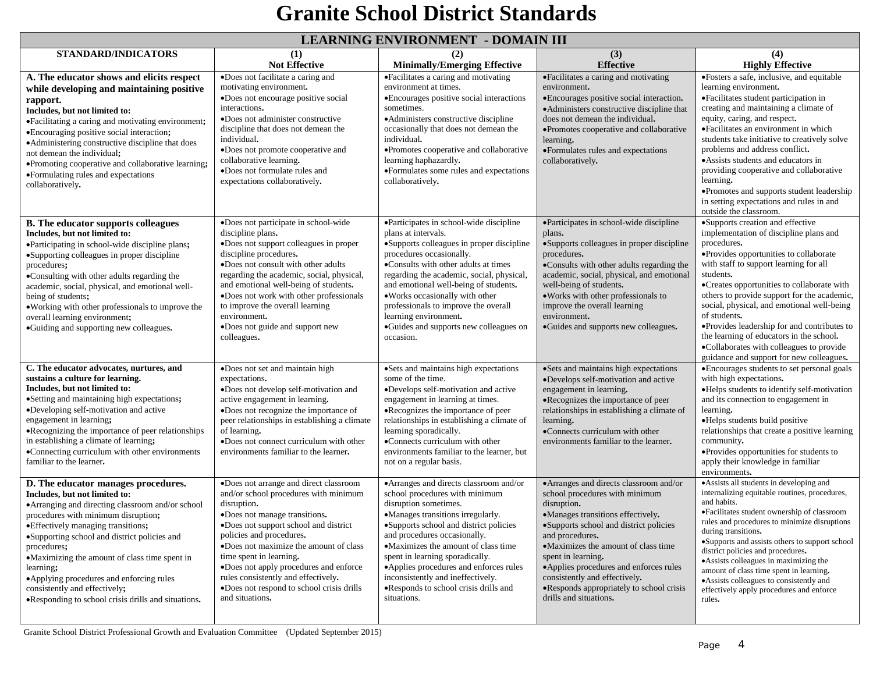#### **LEARNING ENVIRONMENT - DOMAIN III**

|                                                                                                                                                                                                                                                                                                                                                                                                                                                                          |                                                                                                                                                                                                                                                                                                                                                                                                                            | ЕЕЛИЧНО ЕН УПОЛЧИЕН Г - DOINAIR Ш                                                                                                                                                                                                                                                                                                                                                                                                  |                                                                                                                                                                                                                                                                                                                                                                                                          |                                                                                                                                                                                                                                                                                                                                                                                                                                                                                                                                            |
|--------------------------------------------------------------------------------------------------------------------------------------------------------------------------------------------------------------------------------------------------------------------------------------------------------------------------------------------------------------------------------------------------------------------------------------------------------------------------|----------------------------------------------------------------------------------------------------------------------------------------------------------------------------------------------------------------------------------------------------------------------------------------------------------------------------------------------------------------------------------------------------------------------------|------------------------------------------------------------------------------------------------------------------------------------------------------------------------------------------------------------------------------------------------------------------------------------------------------------------------------------------------------------------------------------------------------------------------------------|----------------------------------------------------------------------------------------------------------------------------------------------------------------------------------------------------------------------------------------------------------------------------------------------------------------------------------------------------------------------------------------------------------|--------------------------------------------------------------------------------------------------------------------------------------------------------------------------------------------------------------------------------------------------------------------------------------------------------------------------------------------------------------------------------------------------------------------------------------------------------------------------------------------------------------------------------------------|
| <b>STANDARD/INDICATORS</b>                                                                                                                                                                                                                                                                                                                                                                                                                                               | (1)                                                                                                                                                                                                                                                                                                                                                                                                                        | (2)                                                                                                                                                                                                                                                                                                                                                                                                                                | (3)                                                                                                                                                                                                                                                                                                                                                                                                      | (4)                                                                                                                                                                                                                                                                                                                                                                                                                                                                                                                                        |
|                                                                                                                                                                                                                                                                                                                                                                                                                                                                          | <b>Not Effective</b>                                                                                                                                                                                                                                                                                                                                                                                                       | <b>Minimally/Emerging Effective</b>                                                                                                                                                                                                                                                                                                                                                                                                | <b>Effective</b>                                                                                                                                                                                                                                                                                                                                                                                         | <b>Highly Effective</b>                                                                                                                                                                                                                                                                                                                                                                                                                                                                                                                    |
| A. The educator shows and elicits respect<br>while developing and maintaining positive<br>rapport.<br>Includes, but not limited to:<br>• Facilitating a caring and motivating environment;<br>• Encouraging positive social interaction;<br>•Administering constructive discipline that does                                                                                                                                                                             | •Does not facilitate a caring and<br>motivating environment.<br>•Does not encourage positive social<br>interactions.<br>•Does not administer constructive<br>discipline that does not demean the<br>individual.                                                                                                                                                                                                            | •Facilitates a caring and motivating<br>environment at times.<br>• Encourages positive social interactions<br>sometimes.<br>• Administers constructive discipline<br>occasionally that does not demean the<br>individual.                                                                                                                                                                                                          | ·Facilitates a caring and motivating<br>environment.<br>• Encourages positive social interaction.<br>•Administers constructive discipline that<br>does not demean the individual.<br>•Promotes cooperative and collaborative<br>learning.                                                                                                                                                                | ·Fosters a safe, inclusive, and equitable<br>learning environment.<br>• Facilitates student participation in<br>creating and maintaining a climate of<br>equity, caring, and respect.<br>•Facilitates an environment in which<br>students take initiative to creatively solve<br>problems and address conflict.                                                                                                                                                                                                                            |
| not demean the individual;<br>•Promoting cooperative and collaborative learning;<br>•Formulating rules and expectations<br>collaboratively.                                                                                                                                                                                                                                                                                                                              | •Does not promote cooperative and<br>collaborative learning.<br>·Does not formulate rules and<br>expectations collaboratively.                                                                                                                                                                                                                                                                                             | ·Promotes cooperative and collaborative<br>learning haphazardly.<br>•Formulates some rules and expectations<br>collaboratively.                                                                                                                                                                                                                                                                                                    | •Formulates rules and expectations<br>collaboratively.                                                                                                                                                                                                                                                                                                                                                   | • Assists students and educators in<br>providing cooperative and collaborative<br>learning.<br>·Promotes and supports student leadership<br>in setting expectations and rules in and<br>outside the classroom.                                                                                                                                                                                                                                                                                                                             |
| <b>B.</b> The educator supports colleagues<br>Includes, but not limited to:<br>•Participating in school-wide discipline plans;<br>•Supporting colleagues in proper discipline<br>procedures;<br>•Consulting with other adults regarding the<br>academic, social, physical, and emotional well-<br>being of students;<br>• Working with other professionals to improve the<br>overall learning environment;<br>•Guiding and supporting new colleagues.                    | •Does not participate in school-wide<br>discipline plans.<br>•Does not support colleagues in proper<br>discipline procedures.<br>.Does not consult with other adults<br>regarding the academic, social, physical,<br>and emotional well-being of students.<br>•Does not work with other professionals<br>to improve the overall learning<br>environment.<br>•Does not guide and support new<br>colleagues.                 | •Participates in school-wide discipline<br>plans at intervals.<br>•Supports colleagues in proper discipline<br>procedures occasionally.<br>•Consults with other adults at times<br>regarding the academic, social, physical,<br>and emotional well-being of students.<br>• Works occasionally with other<br>professionals to improve the overall<br>learning environment.<br>•Guides and supports new colleagues on<br>occasion.   | •Participates in school-wide discipline<br>plans.<br>•Supports colleagues in proper discipline<br>procedures.<br>•Consults with other adults regarding the<br>academic, social, physical, and emotional<br>well-being of students.<br>. Works with other professionals to<br>improve the overall learning<br>environment.<br>•Guides and supports new colleagues.                                        | •Supports creation and effective<br>implementation of discipline plans and<br>procedures.<br>• Provides opportunities to collaborate<br>with staff to support learning for all<br>students.<br>•Creates opportunities to collaborate with<br>others to provide support for the academic,<br>social, physical, and emotional well-being<br>of students.<br>• Provides leadership for and contributes to<br>the learning of educators in the school.<br>•Collaborates with colleagues to provide<br>guidance and support for new colleagues. |
| C. The educator advocates, nurtures, and<br>sustains a culture for learning.<br>Includes, but not limited to:<br>• Setting and maintaining high expectations;<br>•Developing self-motivation and active<br>engagement in learning;<br>• Recognizing the importance of peer relationships<br>in establishing a climate of learning;<br>•Connecting curriculum with other environments<br>familiar to the learner.                                                         | •Does not set and maintain high<br>expectations.<br>•Does not develop self-motivation and<br>active engagement in learning.<br>•Does not recognize the importance of<br>peer relationships in establishing a climate<br>of learning.<br>•Does not connect curriculum with other<br>environments familiar to the learner.                                                                                                   | •Sets and maintains high expectations<br>some of the time.<br>•Develops self-motivation and active<br>engagement in learning at times.<br>•Recognizes the importance of peer<br>relationships in establishing a climate of<br>learning sporadically.<br>•Connects curriculum with other<br>environments familiar to the learner, but<br>not on a regular basis.                                                                    | ·Sets and maintains high expectations<br>•Develops self-motivation and active<br>engagement in learning.<br>•Recognizes the importance of peer<br>relationships in establishing a climate of<br>learning.<br>•Connects curriculum with other<br>environments familiar to the learner.                                                                                                                    | • Encourages students to set personal goals<br>with high expectations.<br>•Helps students to identify self-motivation<br>and its connection to engagement in<br>learning.<br>•Helps students build positive<br>relationships that create a positive learning<br>community.<br>·Provides opportunities for students to<br>apply their knowledge in familiar<br>environments.                                                                                                                                                                |
| D. The educator manages procedures.<br>Includes, but not limited to:<br>• Arranging and directing classroom and/or school<br>procedures with minimum disruption;<br>• Effectively managing transitions;<br>•Supporting school and district policies and<br>procedures;<br>•Maximizing the amount of class time spent in<br>learning;<br>•Applying procedures and enforcing rules<br>consistently and effectively;<br>•Responding to school crisis drills and situations. | •Does not arrange and direct classroom<br>and/or school procedures with minimum<br>disruption.<br>•Does not manage transitions.<br>·Does not support school and district<br>policies and procedures.<br>•Does not maximize the amount of class<br>time spent in learning.<br>.Does not apply procedures and enforce<br>rules consistently and effectively.<br>•Does not respond to school crisis drills<br>and situations. | • Arranges and directs classroom and/or<br>school procedures with minimum<br>disruption sometimes.<br>•Manages transitions irregularly.<br>·Supports school and district policies<br>and procedures occasionally.<br>•Maximizes the amount of class time<br>spent in learning sporadically.<br>•Applies procedures and enforces rules<br>inconsistently and ineffectively.<br>•Responds to school crisis drills and<br>situations. | • Arranges and directs classroom and/or<br>school procedures with minimum<br>disruption.<br>·Manages transitions effectively.<br>·Supports school and district policies<br>and procedures.<br>•Maximizes the amount of class time<br>spent in learning.<br>•Applies procedures and enforces rules<br>consistently and effectively.<br>•Responds appropriately to school crisis<br>drills and situations. | • Assists all students in developing and<br>internalizing equitable routines, procedures,<br>and habits.<br>•Facilitates student ownership of classroom<br>rules and procedures to minimize disruptions<br>during transitions.<br>•Supports and assists others to support school<br>district policies and procedures.<br>• Assists colleagues in maximizing the<br>amount of class time spent in learning.<br>• Assists colleagues to consistently and<br>effectively apply procedures and enforce<br>rules.                               |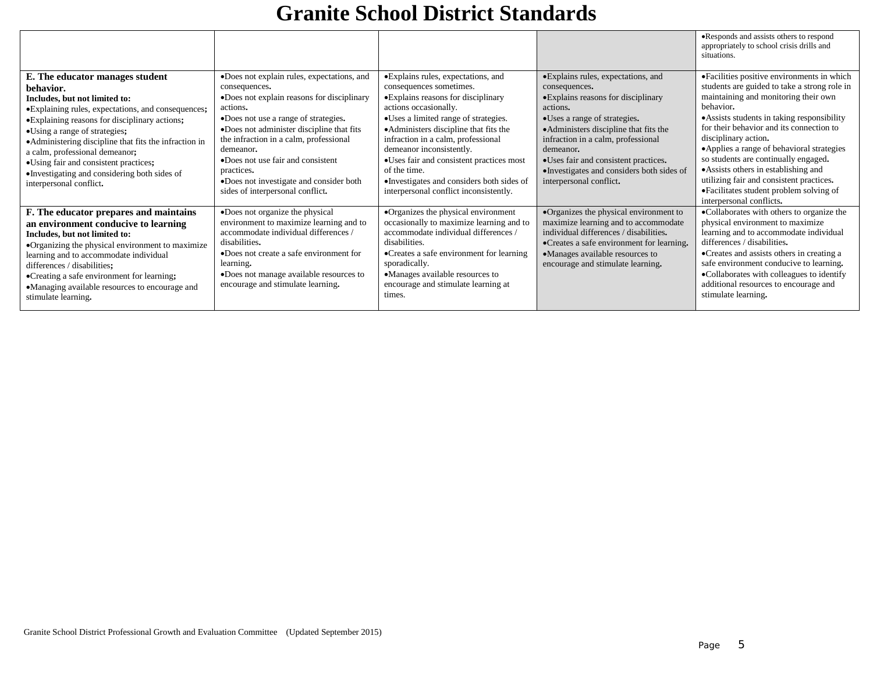|                                                                                                                                                                                                                                                                                                                                                                                                                                       |                                                                                                                                                                                                                                                                                                                                                                                                     |                                                                                                                                                                                                                                                                                                                                                                                                                                       |                                                                                                                                                                                                                                                                                                                                                      | •Responds and assists others to respond<br>appropriately to school crisis drills and<br>situations.                                                                                                                                                                                                                                                                                                                                                                                                                 |
|---------------------------------------------------------------------------------------------------------------------------------------------------------------------------------------------------------------------------------------------------------------------------------------------------------------------------------------------------------------------------------------------------------------------------------------|-----------------------------------------------------------------------------------------------------------------------------------------------------------------------------------------------------------------------------------------------------------------------------------------------------------------------------------------------------------------------------------------------------|---------------------------------------------------------------------------------------------------------------------------------------------------------------------------------------------------------------------------------------------------------------------------------------------------------------------------------------------------------------------------------------------------------------------------------------|------------------------------------------------------------------------------------------------------------------------------------------------------------------------------------------------------------------------------------------------------------------------------------------------------------------------------------------------------|---------------------------------------------------------------------------------------------------------------------------------------------------------------------------------------------------------------------------------------------------------------------------------------------------------------------------------------------------------------------------------------------------------------------------------------------------------------------------------------------------------------------|
| E. The educator manages student<br>behavior.<br>Includes, but not limited to:<br>·Explaining rules, expectations, and consequences;<br>•Explaining reasons for disciplinary actions;<br>•Using a range of strategies;<br>• Administering discipline that fits the infraction in<br>a calm, professional demeanor;<br>•Using fair and consistent practices;<br>•Investigating and considering both sides of<br>interpersonal conflict. | ·Does not explain rules, expectations, and<br>consequences.<br>•Does not explain reasons for disciplinary<br>actions.<br>•Does not use a range of strategies.<br>•Does not administer discipline that fits<br>the infraction in a calm, professional<br>demeanor.<br>•Does not use fair and consistent<br>practices.<br>•Does not investigate and consider both<br>sides of interpersonal conflict. | •Explains rules, expectations, and<br>consequences sometimes.<br>• Explains reasons for disciplinary<br>actions occasionally.<br>• Uses a limited range of strategies.<br>• Administers discipline that fits the<br>infraction in a calm, professional<br>demeanor inconsistently.<br>•Uses fair and consistent practices most<br>of the time.<br>•Investigates and considers both sides of<br>interpersonal conflict inconsistently. | • Explains rules, expectations, and<br>consequences.<br>• Explains reasons for disciplinary<br>actions.<br>•Uses a range of strategies.<br>• Administers discipline that fits the<br>infraction in a calm, professional<br>demeanor.<br>•Uses fair and consistent practices.<br>•Investigates and considers both sides of<br>interpersonal conflict. | • Facilities positive environments in which<br>students are guided to take a strong role in<br>maintaining and monitoring their own<br>behavior.<br>• Assists students in taking responsibility<br>for their behavior and its connection to<br>disciplinary action.<br>•Applies a range of behavioral strategies<br>so students are continually engaged.<br>• Assists others in establishing and<br>utilizing fair and consistent practices.<br>•Facilitates student problem solving of<br>interpersonal conflicts. |
| F. The educator prepares and maintains<br>an environment conducive to learning<br>Includes, but not limited to:<br>•Organizing the physical environment to maximize<br>learning and to accommodate individual<br>differences / disabilities;<br>•Creating a safe environment for learning;<br>•Managing available resources to encourage and<br>stimulate learning.                                                                   | •Does not organize the physical<br>environment to maximize learning and to<br>accommodate individual differences /<br>disabilities.<br>•Does not create a safe environment for<br>learning.<br>•Does not manage available resources to<br>encourage and stimulate learning.                                                                                                                         | •Organizes the physical environment<br>occasionally to maximize learning and to<br>accommodate individual differences /<br>disabilities.<br>• Creates a safe environment for learning<br>sporadically.<br>•Manages available resources to<br>encourage and stimulate learning at<br>times.                                                                                                                                            | •Organizes the physical environment to<br>maximize learning and to accommodate<br>individual differences / disabilities.<br>•Creates a safe environment for learning.<br>•Manages available resources to<br>encourage and stimulate learning.                                                                                                        | •Collaborates with others to organize the<br>physical environment to maximize<br>learning and to accommodate individual<br>differences / disabilities.<br>• Creates and assists others in creating a<br>safe environment conducive to learning.<br>•Collaborates with colleagues to identify<br>additional resources to encourage and<br>stimulate learning.                                                                                                                                                        |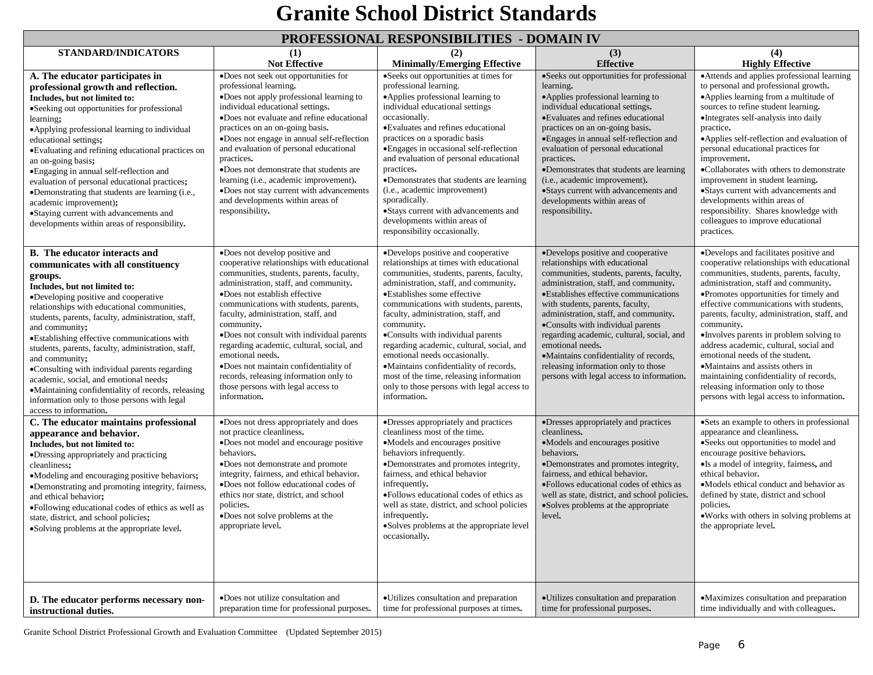|  | PROFESSIONAL RESPONSIBILITIES  - DOMAIN IV |  |
|--|--------------------------------------------|--|
|--|--------------------------------------------|--|

| STANDARD/INDICATORS                                                                                                                                                                                                                                                                                                                                                                                                                                                                                                                                                                                                              | (1)                                                                                                                                                                                                                                                                                                                                                                                                                                                                                                                                                      | THOT DOOL OF THE REDI OF TO DELITED<br>(2)                                                                                                                                                                                                                                                                                                                                                                                                                                                                                                                             | $\sim$ $\sim$ $\sim$ $\sim$ $\sim$ $\sim$ $\sim$ $\sim$<br>(3)                                                                                                                                                                                                                                                                                                                                                                                                                                                      | (4)                                                                                                                                                                                                                                                                                                                                                                                                                                                                                                                                                                                                                    |
|----------------------------------------------------------------------------------------------------------------------------------------------------------------------------------------------------------------------------------------------------------------------------------------------------------------------------------------------------------------------------------------------------------------------------------------------------------------------------------------------------------------------------------------------------------------------------------------------------------------------------------|----------------------------------------------------------------------------------------------------------------------------------------------------------------------------------------------------------------------------------------------------------------------------------------------------------------------------------------------------------------------------------------------------------------------------------------------------------------------------------------------------------------------------------------------------------|------------------------------------------------------------------------------------------------------------------------------------------------------------------------------------------------------------------------------------------------------------------------------------------------------------------------------------------------------------------------------------------------------------------------------------------------------------------------------------------------------------------------------------------------------------------------|---------------------------------------------------------------------------------------------------------------------------------------------------------------------------------------------------------------------------------------------------------------------------------------------------------------------------------------------------------------------------------------------------------------------------------------------------------------------------------------------------------------------|------------------------------------------------------------------------------------------------------------------------------------------------------------------------------------------------------------------------------------------------------------------------------------------------------------------------------------------------------------------------------------------------------------------------------------------------------------------------------------------------------------------------------------------------------------------------------------------------------------------------|
|                                                                                                                                                                                                                                                                                                                                                                                                                                                                                                                                                                                                                                  | <b>Not Effective</b>                                                                                                                                                                                                                                                                                                                                                                                                                                                                                                                                     | <b>Minimally/Emerging Effective</b>                                                                                                                                                                                                                                                                                                                                                                                                                                                                                                                                    | <b>Effective</b>                                                                                                                                                                                                                                                                                                                                                                                                                                                                                                    | <b>Highly Effective</b>                                                                                                                                                                                                                                                                                                                                                                                                                                                                                                                                                                                                |
| A. The educator participates in<br>professional growth and reflection.<br>Includes, but not limited to:<br>•Seeking out opportunities for professional<br>learning;<br>• Applying professional learning to individual<br>educational settings;<br>·Evaluating and refining educational practices on<br>an on-going basis;<br>• Engaging in annual self-reflection and<br>evaluation of personal educational practices;<br>•Demonstrating that students are learning (i.e.,<br>academic improvement);<br>•Staying current with advancements and<br>developments within areas of responsibility.                                   | •Does not seek out opportunities for<br>professional learning.<br>.Does not apply professional learning to<br>individual educational settings.<br>•Does not evaluate and refine educational<br>practices on an on-going basis.<br>•Does not engage in annual self-reflection<br>and evaluation of personal educational<br>practices.<br>•Does not demonstrate that students are<br>learning (i.e., academic improvement).<br>•Does not stay current with advancements<br>and developments within areas of<br>responsibility.                             | •Seeks out opportunities at times for<br>professional learning.<br>•Applies professional learning to<br>individual educational settings<br>occasionally.<br>•Evaluates and refines educational<br>practices on a sporadic basis<br>• Engages in occasional self-reflection<br>and evaluation of personal educational<br>practices.<br>•Demonstrates that students are learning<br>(i.e., academic improvement)<br>sporadically.<br>·Stays current with advancements and<br>developments within areas of<br>responsibility occasionally.                                | •Seeks out opportunities for professional<br>learning.<br>•Applies professional learning to<br>individual educational settings.<br>•Evaluates and refines educational<br>practices on an on-going basis.<br>• Engages in annual self-reflection and<br>evaluation of personal educational<br>practices.<br>•Demonstrates that students are learning<br>(i.e., academic improvement).<br>•Stays current with advancements and<br>developments within areas of<br>responsibility.                                     | • Attends and applies professional learning<br>to personal and professional growth.<br>•Applies learning from a multitude of<br>sources to refine student learning.<br>·Integrates self-analysis into daily<br>practice.<br>•Applies self-reflection and evaluation of<br>personal educational practices for<br>improvement.<br>•Collaborates with others to demonstrate<br>improvement in student learning.<br>•Stays current with advancements and<br>developments within areas of<br>responsibility. Shares knowledge with<br>colleagues to improve educational<br>practices.                                       |
| B. The educator interacts and<br>communicates with all constituency<br>groups.<br>Includes, but not limited to:<br>•Developing positive and cooperative<br>relationships with educational communities,<br>students, parents, faculty, administration, staff,<br>and community;<br>·Establishing effective communications with<br>students, parents, faculty, administration, staff,<br>and community;<br>•Consulting with individual parents regarding<br>academic, social, and emotional needs;<br>•Maintaining confidentiality of records, releasing<br>information only to those persons with legal<br>access to information. | ·Does not develop positive and<br>cooperative relationships with educational<br>communities, students, parents, faculty,<br>administration, staff, and community.<br>•Does not establish effective<br>communications with students, parents,<br>faculty, administration, staff, and<br>community.<br>•Does not consult with individual parents<br>regarding academic, cultural, social, and<br>emotional needs.<br>•Does not maintain confidentiality of<br>records, releasing information only to<br>those persons with legal access to<br>information. | •Develops positive and cooperative<br>relationships at times with educational<br>communities, students, parents, faculty,<br>administration, staff, and community.<br>•Establishes some effective<br>communications with students, parents,<br>faculty, administration, staff, and<br>community.<br>·Consults with individual parents<br>regarding academic, cultural, social, and<br>emotional needs occasionally.<br>•Maintains confidentiality of records,<br>most of the time, releasing information<br>only to those persons with legal access to<br>information. | •Develops positive and cooperative<br>relationships with educational<br>communities, students, parents, faculty,<br>administration, staff, and community.<br>•Establishes effective communications<br>with students, parents, faculty,<br>administration, staff, and community.<br>•Consults with individual parents<br>regarding academic, cultural, social, and<br>emotional needs.<br>•Maintains confidentiality of records,<br>releasing information only to those<br>persons with legal access to information. | ·Develops and facilitates positive and<br>cooperative relationships with educational<br>communities, students, parents, faculty,<br>administration, staff and community.<br>•Promotes opportunities for timely and<br>effective communications with students,<br>parents, faculty, administration, staff, and<br>community.<br>•Involves parents in problem solving to<br>address academic, cultural, social and<br>emotional needs of the student.<br>•Maintains and assists others in<br>maintaining confidentiality of records,<br>releasing information only to those<br>persons with legal access to information. |
| C. The educator maintains professional<br>appearance and behavior.<br>Includes, but not limited to:<br>•Dressing appropriately and practicing<br>cleanliness;<br>•Modeling and encouraging positive behaviors;<br>•Demonstrating and promoting integrity, fairness,<br>and ethical behavior;<br>·Following educational codes of ethics as well as<br>state, district, and school policies;<br>·Solving problems at the appropriate level.                                                                                                                                                                                        | .Does not dress appropriately and does<br>not practice cleanliness.<br>•Does not model and encourage positive<br>behaviors.<br>•Does not demonstrate and promote<br>integrity, fairness, and ethical behavior.<br>•Does not follow educational codes of<br>ethics nor state, district, and school<br>policies.<br>•Does not solve problems at the<br>appropriate level.                                                                                                                                                                                  | •Dresses appropriately and practices<br>cleanliness most of the time.<br>•Models and encourages positive<br>behaviors infrequently.<br>•Demonstrates and promotes integrity,<br>fairness, and ethical behavior<br>infrequently.<br>·Follows educational codes of ethics as<br>well as state, district, and school policies<br>infrequently.<br>•Solves problems at the appropriate level<br>occasionally.                                                                                                                                                              | •Dresses appropriately and practices<br>cleanliness.<br>•Models and encourages positive<br>behaviors.<br>•Demonstrates and promotes integrity,<br>fairness, and ethical behavior.<br>·Follows educational codes of ethics as<br>well as state, district, and school policies.<br>•Solves problems at the appropriate<br>level.                                                                                                                                                                                      | •Sets an example to others in professional<br>appearance and cleanliness.<br>•Seeks out opportunities to model and<br>encourage positive behaviors.<br>•Is a model of integrity, fairness, and<br>ethical behavior.<br>•Models ethical conduct and behavior as<br>defined by state, district and school<br>policies.<br>• Works with others in solving problems at<br>the appropriate level.                                                                                                                                                                                                                           |
| D. The educator performs necessary non-<br>instructional duties.                                                                                                                                                                                                                                                                                                                                                                                                                                                                                                                                                                 | •Does not utilize consultation and<br>preparation time for professional purposes.                                                                                                                                                                                                                                                                                                                                                                                                                                                                        | • Utilizes consultation and preparation<br>time for professional purposes at times.                                                                                                                                                                                                                                                                                                                                                                                                                                                                                    | • Utilizes consultation and preparation<br>time for professional purposes.                                                                                                                                                                                                                                                                                                                                                                                                                                          | •Maximizes consultation and preparation<br>time individually and with colleagues.                                                                                                                                                                                                                                                                                                                                                                                                                                                                                                                                      |